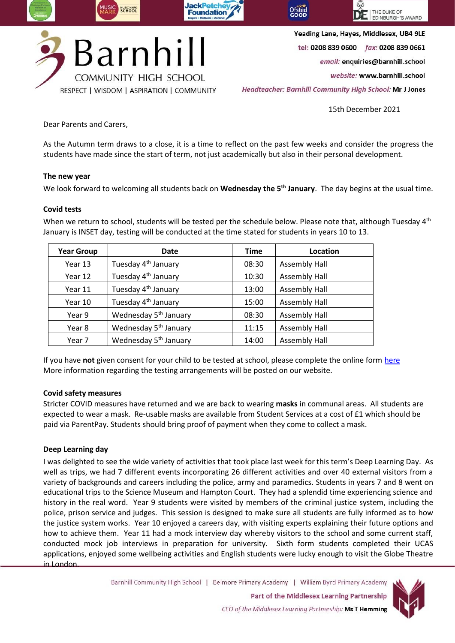

Yeading Lane, Hayes, Middlesex, UB4 9LE

tel: 0208 839 0600 fax: 0208 839 0661

email: enquiries@barnhill.school

website: www.barnhill.school

Headteacher: Barnhill Community High School: Mr J Jones

15th December 2021

Dear Parents and Carers,

As the Autumn term draws to a close, it is a time to reflect on the past few weeks and consider the progress the students have made since the start of term, not just academically but also in their personal development.

## **The new year**

We look forward to welcoming all students back on **Wednesday the 5th January**. The day begins at the usual time.

## **Covid tests**

When we return to school, students will be tested per the schedule below. Please note that, although Tuesday 4<sup>th</sup> January is INSET day, testing will be conducted at the time stated for students in years 10 to 13.

| <b>Year Group</b> | <b>Date</b>                       | <b>Time</b> | Location             |
|-------------------|-----------------------------------|-------------|----------------------|
| Year 13           | Tuesday 4 <sup>th</sup> January   | 08:30       | <b>Assembly Hall</b> |
| Year 12           | Tuesday 4 <sup>th</sup> January   | 10:30       | <b>Assembly Hall</b> |
| Year 11           | Tuesday 4 <sup>th</sup> January   | 13:00       | <b>Assembly Hall</b> |
| Year 10           | Tuesday 4 <sup>th</sup> January   | 15:00       | <b>Assembly Hall</b> |
| Year 9            | Wednesday 5 <sup>th</sup> January | 08:30       | <b>Assembly Hall</b> |
| Year 8            | Wednesday 5 <sup>th</sup> January | 11:15       | <b>Assembly Hall</b> |
| Year 7            | Wednesday 5 <sup>th</sup> January | 14:00       | <b>Assembly Hall</b> |

If you have **not** given consent for your child to be tested at school, please complete the online form [here](https://forms.office.com/Pages/ResponsePage.aspx?id=YIoc9dOgEkeKFtMJOrpkZvvMMp0I5xhLh9sH9Z5T-NhUNzFRRkdZRTNHMk81NTcwV0pWMExORURISC4u) More information regarding the testing arrangements will be posted on our website.

# **Covid safety measures**

Stricter COVID measures have returned and we are back to wearing **masks** in communal areas. All students are expected to wear a mask. Re-usable masks are available from Student Services at a cost of £1 which should be paid via ParentPay. Students should bring proof of payment when they come to collect a mask.

### **Deep Learning day**

I was delighted to see the wide variety of activities that took place last week for this term's Deep Learning Day. As well as trips, we had 7 different events incorporating 26 different activities and over 40 external visitors from a variety of backgrounds and careers including the police, army and paramedics. Students in years 7 and 8 went on educational trips to the Science Museum and Hampton Court. They had a splendid time experiencing science and history in the real word. Year 9 students were visited by members of the criminal justice system, including the police, prison service and judges. This session is designed to make sure all students are fully informed as to how the justice system works. Year 10 enjoyed a careers day, with visiting experts explaining their future options and how to achieve them. Year 11 had a mock interview day whereby visitors to the school and some current staff, conducted mock job interviews in preparation for university. Sixth form students completed their UCAS applications, enjoyed some wellbeing activities and English students were lucky enough to visit the Globe Theatre in London.